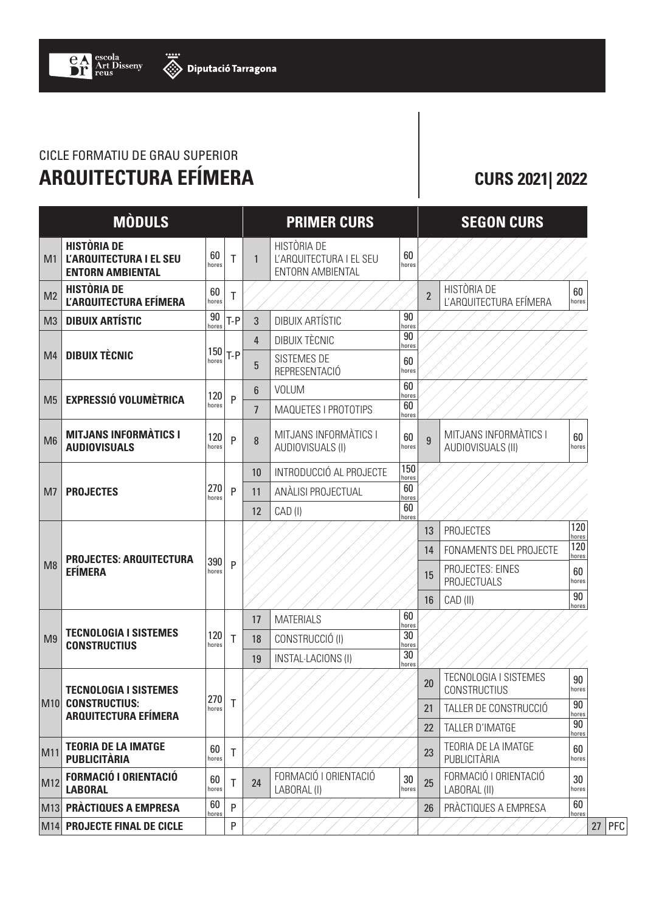# CICLE FORMATIU DE GRAU SUPERIOR **ARQUITECTURA EFÍMERA** CURS 2021| 2022

|                | <b>MÒDULS</b>                                                                                |              |             |                | <b>PRIMER CURS</b>                                                |              |                | <b>SEGON CURS</b>                          |              |
|----------------|----------------------------------------------------------------------------------------------|--------------|-------------|----------------|-------------------------------------------------------------------|--------------|----------------|--------------------------------------------|--------------|
| M <sub>1</sub> | <b>HISTÒRIA DE</b><br><b>L'ARQUITECTURA I EL SEU</b><br><b>ENTORN AMBIENTAL</b>              | 60<br>hores  | T           | $\mathbf{1}$   | HISTÒRIA DE<br>L'ARQUITECTURA I EL SEU<br><b>ENTORN AMBIENTAL</b> | 60<br>hores  |                |                                            |              |
| M <sub>2</sub> | <b>HISTÒRIA DE</b><br>L'ARQUITECTURA EFÍMERA                                                 | 60<br>hores  | T           |                |                                                                   |              | $\overline{2}$ | HISTÒRIA DE<br>L'ARQUITECTURA EFÍMERA      | 60<br>hores  |
| M3             | <b>DIBUIX ARTÍSTIC</b>                                                                       | 90<br>hores  | $T-P$       | 3              | <b>DIBUIX ARTÍSTIC</b>                                            | 90<br>hores  |                |                                            |              |
| M4             | <b>DIBUIX TÈCNIC</b>                                                                         | hores        | $150 T - P$ | 4              | DIBUIX TÈCNIC                                                     | 90<br>hores  |                |                                            |              |
|                |                                                                                              |              |             | 5              | <b>SISTEMES DE</b><br>REPRESENTACIÓ                               | 60<br>hores  |                |                                            |              |
| M <sub>5</sub> | <b>EXPRESSIÓ VOLUMÈTRICA</b>                                                                 | 120<br>hores | P           | 6              | <b>VOLUM</b>                                                      | 60<br>hores  |                |                                            |              |
|                |                                                                                              |              |             | $\overline{7}$ | MAQUETES I PROTOTIPS                                              | 60<br>hores  |                |                                            |              |
| M <sub>6</sub> | <b>MITJANS INFORMATICS I</b><br><b>AUDIOVISUALS</b>                                          | 120<br>hores | P           | 8              | MITJANS INFORMATICS I<br>AUDIOVISUALS (I)                         | 60<br>hores  | 9              | MITJANS INFORMATICS I<br>AUDIOVISUALS (II) | 60<br>hores  |
| M <sub>7</sub> | <b>PROJECTES</b>                                                                             | 270<br>hores | P           | 10             | INTRODUCCIÓ AL PROJECTE                                           | 150<br>hores |                |                                            |              |
|                |                                                                                              |              |             | 11             | ANÀLISI PROJECTUAL                                                | 60<br>hores  |                |                                            |              |
|                |                                                                                              |              |             | 12             | $CAD$ (I)                                                         | 60<br>hores  |                |                                            |              |
| M8             | <b>PROJECTES: ARQUITECTURA</b><br><b>EFÍMERA</b>                                             | 390<br>hores | P           |                |                                                                   |              | 13             | <b>PROJECTES</b>                           | 120<br>hores |
|                |                                                                                              |              |             |                |                                                                   |              | 14             | FONAMENTS DEL PROJECTE                     | 120<br>hores |
|                |                                                                                              |              |             |                |                                                                   |              | 15             | PROJECTES: EINES<br><b>PROJECTUALS</b>     | 60<br>hores  |
|                |                                                                                              |              |             |                |                                                                   |              | 16             | CAD (II)                                   | 90<br>hores  |
|                | <b>TECNOLOGIA I SISTEMES</b><br><b>CONSTRUCTIUS</b>                                          | 120<br>hores | T           | 17             | <b>MATERIALS</b>                                                  | 60<br>hores  |                |                                            |              |
| M <sub>9</sub> |                                                                                              |              |             | 18             | CONSTRUCCIÓ (I)                                                   | 30<br>hores  |                |                                            |              |
|                |                                                                                              |              |             | 19             | <b>INSTAL·LACIONS (I)</b>                                         | 30<br>hores  |                |                                            |              |
|                | <b>TECNOLOGIA I SISTEMES</b><br>M <sub>10</sub> CONSTRUCTIUS:<br><b>ARQUITECTURA EFÍMERA</b> | 270<br>hores | T           |                |                                                                   |              | 20             | TECNOLOGIA I SISTEMES<br>CONSTRUCTIUS      | 90<br>hores  |
|                |                                                                                              |              |             |                |                                                                   |              | 21             | TALLER DE CONSTRUCCIÓ                      | 90<br>hores  |
|                |                                                                                              |              |             |                |                                                                   |              | 22             | TALLER D'IMATGE                            | 90<br>hores  |
| M11            | <b>TEORIA DE LA IMATGE</b><br><b>PUBLICITÀRIA</b>                                            | 60<br>hores  | T           |                |                                                                   |              | 23             | TEORIA DE LA IMATGE<br>PUBLICITÀRIA        | 60<br>hores  |
| M12            | <b>FORMACIÓ I ORIENTACIÓ</b><br><b>LABORAL</b>                                               | 60<br>hores  | Τ           | 24             | FORMACIÓ I ORIENTACIÓ<br>LABORAL (I)                              | 30<br>hores  | 25             | FORMACIÓ I ORIENTACIÓ<br>LABORAL (II)      | 30<br>hores  |
|                | M13 PRACTIQUES A EMPRESA                                                                     | 60<br>hores  | P           |                |                                                                   |              | 26             | PRÀCTIQUES A EMPRESA                       | 60<br>hores  |
|                | M14 PROJECTE FINAL DE CICLE                                                                  |              | P           |                |                                                                   |              |                |                                            |              |